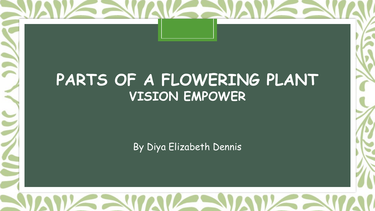

By Diya Elizabeth Dennis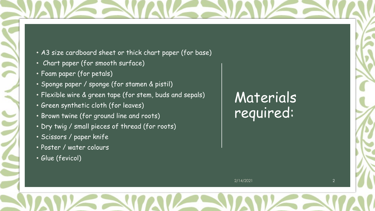

- Chart paper (for smooth surface)
- Foam paper (for petals)
- Sponge paper / sponge (for stamen & pistil)
- Flexible wire & green tape (for stem, buds and sepals)
- Green synthetic cloth (for leaves)
- Brown twine (for ground line and roots)
- Dry twig / small pieces of thread (for roots)
- Scissors / paper knife
- Poster / water colours
- Glue (fevicol)

# Materials required:

2/14/2021 2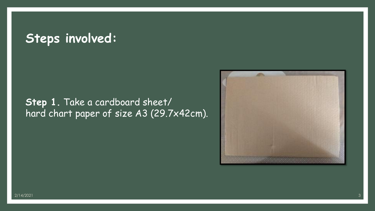## **Steps involved:**

## **Step 1.** Take a cardboard sheet/ hard chart paper of size A3 (29.7x42cm).

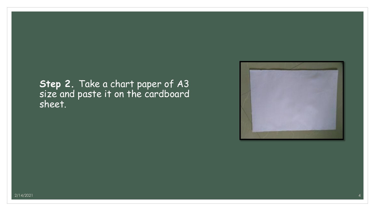### **Step 2.** Take a chart paper of A3 size and paste it on the cardboard sheet.

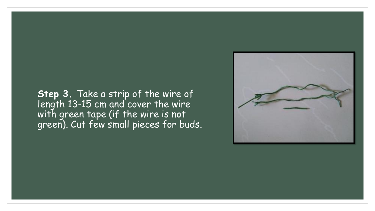#### **Step 3.** Take a strip of the wire of length 13-15 cm and cover the wire with green tape (if the wire is not green). Cut few small pieces for buds.

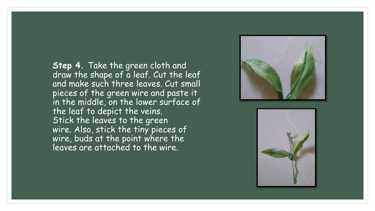**Step 4.** Take the green cloth and draw the shape of a leaf. Cut the leaf and make such three leaves. Cut small pieces of the green wire and paste it in the middle, on the lower surface of the leaf to depict the veins. Stick the leaves to the green wire. Also, stick the tiny pieces of wire, buds at the point where the leaves are attached to the wire.



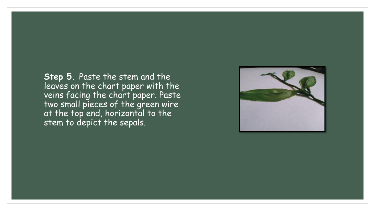**Step 5.** Paste the stem and the leaves on the chart paper with the veins facing the chart paper. Paste two small pieces of the green wire at the top end, horizontal to the stem to depict the sepals.

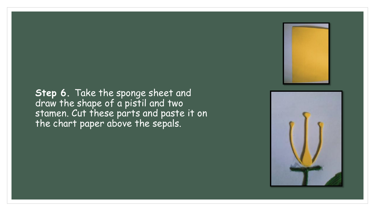#### **Step 6.** Take the sponge sheet and draw the shape of a pistil and two stamen. Cut these parts and paste it on the chart paper above the sepals.



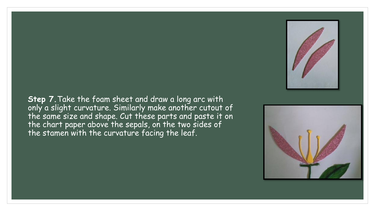#### **Step 7.**Take the foam sheet and draw a long arc with only a slight curvature. Similarly make another cutout of the same size and shape. Cut these parts and paste it on the chart paper above the sepals, on the two sides of the stamen with the curvature facing the leaf.



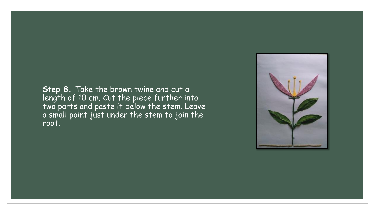**Step 8.** Take the brown twine and cut a length of 10 cm. Cut the piece further into two parts and paste it below the stem. Leave a small point just under the stem to join the root.

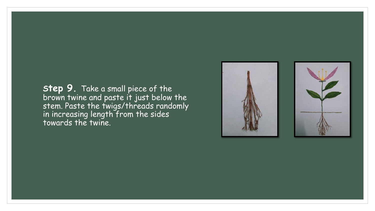**Step 9.** Take a small piece of the brown twine and paste it just below the stem. Paste the twigs/threads randomly in increasing length from the sides towards the twine.